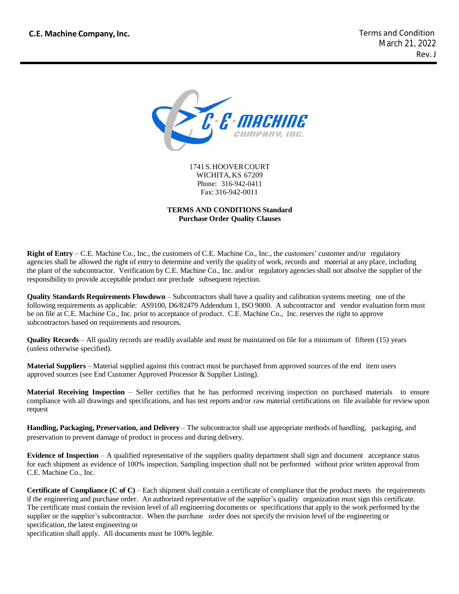

1741S.HOOVERCOURT WICHITA, KS 67209 Phone: 316-942-0411 Fax: 316-942-0011

#### **TERMS AND CONDITIONS Standard Purchase Order Quality Clauses**

**Right of Entry** – C.E. Machine Co., Inc., the customers of C.E. Machine Co., Inc., the customers' customer and/or regulatory agencies shall be allowed the right of entry to determine and verify the quality of work, records and material at any place, including the plant of the subcontractor. Verification by C.E. Machine Co., Inc. and/or regulatory agencies shall not absolve the supplier of the responsibility to provide acceptable product nor preclude subsequent rejection.

**Quality Standards Requirements Flowdown** – Subcontractors shall have a quality and calibration systems meeting one of the following requirements as applicable: AS9100, D6/82479 Addendum 1, ISO 9000. A subcontractor and vendor evaluation form must be on file at C.E. Machine Co., Inc. prior to acceptance of product. C.E. Machine Co., Inc. reserves the right to approve subcontractors based on requirements and resources.

**Quality Records – All quality records are readily available and must be maintained on file for a minimum of fifteen (15) years** (unless otherwise specified).

**Material Suppliers** – Material supplied against this contract must be purchased from approved sources of the end item users approved sources (see End Customer Approved Processor & Supplier Listing).

**Material Receiving Inspection** – Seller certifies that he has performed receiving inspection on purchased materials to ensure compliance with all drawings and specifications, and has test reports and/or raw material certifications on file available for review upon request

**Handling, Packaging, Preservation, and Delivery** – The subcontractor shall use appropriate methods of handling, packaging, and preservation to prevent damage of product in process and during delivery.

**Evidence of Inspection** – A qualified representative of the suppliers quality department shall sign and document acceptance status for each shipment as evidence of 100% inspection. Sampling inspection shall not be performed without prior written approval from C.E. Machine Co., Inc.

**Certificate of Compliance (C of C)** – Each shipment shall contain a certificate of compliance that the product meets the requirements if the engineering and purchase order. An authorized representative of the supplier's quality organization must sign this certificate. The certificate must contain the revision level of all engineering documents or specifications that apply to the work performed by the supplier or the supplier's subcontractor. When the purchase order does not specify the revision level of the engineering or specification, the latest engineering or

specification shall apply. All documents must be 100% legible.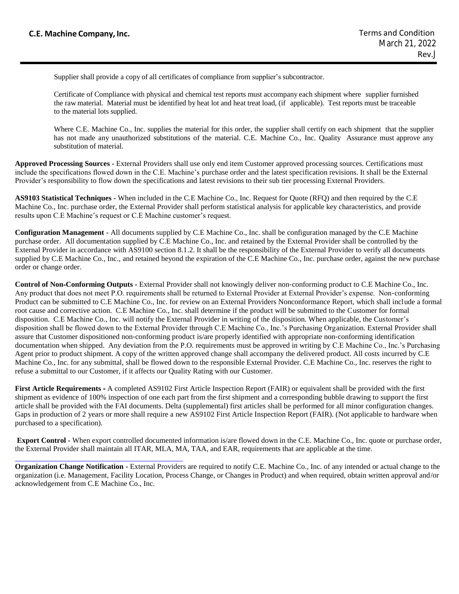Supplier shall provide a copy of all certificates of compliance from supplier's subcontractor.

 the raw material. Material must be identified by heat lot and heat treat load, (if applicable). Test reports must be traceable Certificate of Compliance with physical and chemical test reports must accompany each shipment where supplier furnished to the material lots supplied.

Where C.E. Machine Co., Inc. supplies the material for this order, the supplier shall certify on each shipment that the supplier has not made any unauthorized substitutions of the material. C.E. Machine Co., Inc. Quality Assurance must approve any substitution of material.

**Approved Processing Sources -** External Providers shall use only end item Customer approved processing sources. Certifications must include the specifications flowed down in the C.E. Machine's purchase order and the latest specification revisions. It shall be the External Provider's responsibility to flow down the specifications and latest revisions to their sub tier processing External Providers.

**AS9103 Statistical Techniques -** When included in the C.E Machine Co., Inc. Request for Quote (RFQ) and then required by the C.E Machine Co., Inc. purchase order, the External Provider shall perform statistical analysis for applicable key characteristics, and provide results upon C.E Machine's request or C.E Machine customer's request.

**Configuration Management -** All documents supplied by C.E Machine Co., Inc. shall be configuration managed by the C.E Machine purchase order. All documentation supplied by C.E Machine Co., Inc. and retained by the External Provider shall be controlled by the External Provider in accordance with AS9100 section 8.1.2. It shall be the responsibility of the External Provider to verify all documents supplied by C.E Machine Co., Inc., and retained beyond the expiration of the C.E Machine Co., Inc. purchase order, against the new purchase order or change order.

**Control of Non**‐**Conforming Outputs -** External Provider shall not knowingly deliver non‐conforming product to C.E Machine Co., Inc. Any product that does not meet P.O. requirements shall be returned to External Provider at External Provider's expense. Non-conforming Product can be submitted to C.E Machine Co., Inc. for review on an External Providers Nonconformance Report, which shall include a formal root cause and corrective action. C.E Machine Co., Inc. shall determine if the product will be submitted to the Customer for formal disposition. C.E Machine Co., Inc. will notify the External Provider in writing of the disposition. When applicable, the Customer's disposition shall be flowed down to the External Provider through C.E Machine Co., Inc.'s Purchasing Organization. External Provider shall assure that Customer dispositioned non‐conforming product is/are properly identified with appropriate non‐conforming identification documentation when shipped. Any deviation from the P.O. requirements must be approved in writing by C.E Machine Co., Inc.'s Purchasing Agent prior to product shipment. A copy of the written approved change shall accompany the delivered product. All costs incurred by C.E Machine Co., Inc. for any submittal, shall be flowed down to the responsible External Provider. C.E Machine Co., Inc. reserves the right to refuse a submittal to our Customer, if it affects our Quality Rating with our Customer.

**First Article Requirements** ‐ A completed AS9102 First Article Inspection Report (FAIR) or equivalent shall be provided with the first shipment as evidence of 100% inspection of one each part from the first shipment and a corresponding bubble drawing to support the first article shall be provided with the FAI documents. Delta (supplemental) first articles shall be performed for all minor configuration changes. Gaps in production of 2 years or more shall require a new AS9102 First Article Inspection Report (FAIR). (Not applicable to hardware when purchased to a specification).

**Export Control -** When export controlled documented information is/are flowed down in the C.E. Machine Co., Inc. quote or purchase order, the External Provider shall maintain all ITAR, MLA, MA, TAA, and EAR, requirements that are applicable at the time.

**Organization Change Notification -** External Providers are required to notify C.E. Machine Co., Inc. of any intended or actual change to the organization (i.e. Management, Facility Location, Process Change, or Changes in Product) and when required, obtain written approval and/or acknowledgement from C.E Machine Co., Inc.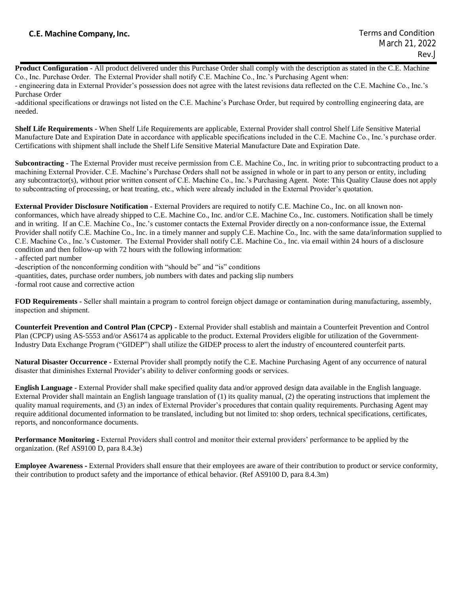**Product Configuration -** All product delivered under this Purchase Order shall comply with the description as stated in the C.E. Machine Co., Inc. Purchase Order. The External Provider shall notify C.E. Machine Co., Inc.'s Purchasing Agent when:

- engineering data in External Provider's possession does not agree with the latest revisions data reflected on the C.E. Machine Co., Inc.'s Purchase Order

-additional specifications or drawings not listed on the C.E. Machine's Purchase Order, but required by controlling engineering data, are needed.

**Shelf Life Requirements -** When Shelf Life Requirements are applicable, External Provider shall control Shelf Life Sensitive Material Manufacture Date and Expiration Date in accordance with applicable specifications included in the C.E. Machine Co., Inc.'s purchase order. Certifications with shipment shall include the Shelf Life Sensitive Material Manufacture Date and Expiration Date.

**Subcontracting -** The External Provider must receive permission from C.E. Machine Co., Inc. in writing prior to subcontracting product to a machining External Provider. C.E. Machine's Purchase Orders shall not be assigned in whole or in part to any person or entity, including any subcontractor(s), without prior written consent of C.E. Machine Co., Inc.'s Purchasing Agent. Note: This Quality Clause does not apply to subcontracting of processing, or heat treating, etc., which were already included in the External Provider's quotation.

**External Provider Disclosure Notification -** External Providers are required to notify C.E. Machine Co., Inc. on all known non‐ conformances, which have already shipped to C.E. Machine Co., Inc. and/or C.E. Machine Co., Inc. customers. Notification shall be timely and in writing. If an C.E. Machine Co., Inc.'s customer contacts the External Provider directly on a non-conformance issue, the External Provider shall notify C.E. Machine Co., Inc. in a timely manner and supply C.E. Machine Co., Inc. with the same data/information supplied to C.E. Machine Co., Inc.'s Customer. The External Provider shall notify C.E. Machine Co., Inc. via email within 24 hours of a disclosure condition and then follow-up with 72 hours with the following information:

- affected part number

-description of the nonconforming condition with "should be" and "is" conditions

-quantities, dates, purchase order numbers, job numbers with dates and packing slip numbers

-formal root cause and corrective action

**FOD Requirements -** Seller shall maintain a program to control foreign object damage or contamination during manufacturing, assembly, inspection and shipment.

**Counterfeit Prevention and Control Plan (CPCP) -** External Provider shall establish and maintain a Counterfeit Prevention and Control Plan (CPCP) using AS-5553 and/or AS6174 as applicable to the product. External Providers eligible for utilization of the Government-Industry Data Exchange Program ("GIDEP") shall utilize the GIDEP process to alert the industry of encountered counterfeit parts.

**Natural Disaster Occurrence -** External Provider shall promptly notify the C.E. Machine Purchasing Agent of any occurrence of natural disaster that diminishes External Provider's ability to deliver conforming goods or services.

**English Language -** External Provider shall make specified quality data and/or approved design data available in the English language. External Provider shall maintain an English language translation of (1) its quality manual, (2) the operating instructions that implement the quality manual requirements, and (3) an index of External Provider's procedures that contain quality requirements. Purchasing Agent may require additional documented information to be translated, including but not limited to: shop orders, technical specifications, certificates, reports, and nonconformance documents.

**Performance Monitoring -** External Providers shall control and monitor their external providers' performance to be applied by the organization. (Ref AS9100 D, para 8.4.3e)

**Employee Awareness** ‐ External Providers shall ensure that their employees are aware of their contribution to product or service conformity, their contribution to product safety and the importance of ethical behavior. (Ref AS9100 D, para 8.4.3m)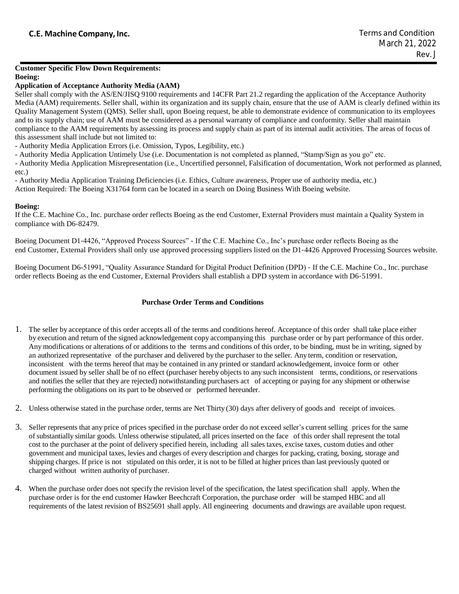#### **Customer Specific Flow Down Requirements: Boeing:**

### **Application of Acceptance Authority Media (AAM)**

Seller shall comply with the AS/EN/JISQ 9100 requirements and 14CFR Part 21.2 regarding the application of the Acceptance Authority Media (AAM) requirements. Seller shall, within its organization and its supply chain, ensure that the use of AAM is clearly defined within its Quality Management System (QMS). Seller shall, upon Boeing request, be able to demonstrate evidence of communication to its employees and to its supply chain; use of AAM must be considered as a personal warranty of compliance and conformity. Seller shall maintain compliance to the AAM requirements by assessing its process and supply chain as part of its internal audit activities. The areas of focus of this assessment shall include but not limited to:

- Authority Media Application Errors (i.e. Omission, Typos, Legibility, etc.)

- Authority Media Application Untimely Use (i.e. Documentation is not completed as planned, "Stamp/Sign as you go" etc.

- Authority Media Application Misrepresentation (i.e., Uncertified personnel, Falsification of documentation, Work not performed as planned, etc.)

- Authority Media Application Training Deficiencies (i.e. Ethics, Culture awareness, Proper use of authority media, etc.) Action Required: The Boeing X31764 form can be located in a search on Doing Business With Boeing website.

#### **Boeing:**

If the C.E. Machine Co., Inc. purchase order reflects Boeing as the end Customer, External Providers must maintain a Quality System in compliance with D6‐82479.

Boeing Document D1‐4426, "Approved Process Sources" ‐ If the C.E. Machine Co., Inc's purchase order reflects Boeing as the end Customer, External Providers shall only use approved processing suppliers listed on the D1‐4426 Approved Processing Sources website.

Boeing Document D6-51991, "Quality Assurance Standard for Digital Product Definition (DPD) ‐ If the C.E. Machine Co., Inc. purchase order reflects Boeing as the end Customer, External Providers shall establish a DPD system in accordance with D6‐51991.

## **Purchase Order Terms and Conditions**

- 1. The seller by acceptance of this order accepts all of the terms and conditions hereof. Acceptance of this order shall take place either by execution and return of the signed acknowledgement copy accompanying this purchase order or by part performance of this order. Any modifications or alterations of or additions to the terms and conditions of this order, to be binding, must be in writing, signed by an authorized representative of the purchaser and delivered by the purchaser to the seller. Any term, condition or reservation, inconsistent with the terms hereof that may be contained in any printed or standard acknowledgement, invoice form or other document issued by seller shall be of no effect (purchaser hereby objects to any such inconsistent terms, conditions, or reservations and notifies the seller that they are rejected) notwithstanding purchasers act of accepting or paying for any shipment or otherwise performing the obligations on its part to be observed or performed hereunder.
- 2. Unless otherwise stated in the purchase order, terms are Net Thirty (30) days after delivery of goods and receipt of invoices.
- 3. Seller represents that any price of prices specified in the purchase order do not exceed seller's current selling prices for the same of substantially similar goods. Unless otherwise stipulated, all prices inserted on the face of this order shall represent the total cost to the purchaser at the point of delivery specified herein, including all sales taxes, excise taxes, custom duties and other government and municipal taxes, levies and charges of every description and charges for packing, crating, boxing, storage and shipping charges. If price is not stipulated on this order, it is not to be filled at higher prices than last previously quoted or charged without written authority of purchaser.
- 4. When the purchase order does not specify the revision level of the specification, the latest specification shall apply. When the purchase order is for the end customer Hawker Beechcraft Corporation, the purchase order will be stamped HBC and all requirements of the latest revision of BS25691 shall apply. All engineering documents and drawings are available upon request.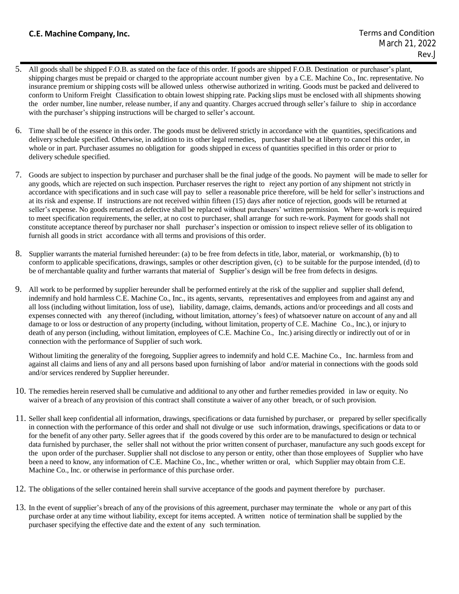# **C.E. Machine Company, Inc.**

- 5. All goods shall be shipped F.O.B. as stated on the face of this order. If goods are shipped F.O.B. Destination or purchaser's plant, shipping charges must be prepaid or charged to the appropriate account number given by a C.E. Machine Co., Inc. representative. No insurance premium or shipping costs will be allowed unless otherwise authorized in writing. Goods must be packed and delivered to conform to Uniform Freight Classification to obtain lowest shipping rate. Packing slips must be enclosed with all shipments showing the order number, line number, release number, if any and quantity. Charges accrued through seller's failure to ship in accordance with the purchaser's shipping instructions will be charged to seller's account.
- 6. Time shall be of the essence in this order. The goods must be delivered strictly in accordance with the quantities, specifications and delivery schedule specified. Otherwise, in addition to its other legal remedies, purchaser shall be at liberty to cancel this order, in whole or in part. Purchaser assumes no obligation for goods shipped in excess of quantities specified in this order or prior to delivery schedule specified.
- 7. Goods are subject to inspection by purchaser and purchaser shall be the final judge of the goods. No payment will be made to seller for any goods, which are rejected on such inspection. Purchaser reserves the right to reject any portion of any shipment not strictly in accordance with specifications and in such case will pay to seller a reasonable price therefore, will be held for seller's instructions and at its risk and expense. If instructions are not received within fifteen (15) days after notice of rejection, goods will be returned at seller's expense. No goods returned as defective shall be replaced without purchasers' written permission. Where re-work is required to meet specification requirements, the seller, at no cost to purchaser, shall arrange for such re-work. Payment for goods shall not constitute acceptance thereof by purchaser nor shall purchaser's inspection or omission to inspect relieve seller of its obligation to furnish all goods in strict accordance with all terms and provisions of this order.
- 8. Supplier warrants the material furnished hereunder: (a) to be free from defects in title, labor, material, or workmanship, (b) to conform to applicable specifications, drawings, samples or other description given, (c) to be suitable for the purpose intended, (d) to be of merchantable quality and further warrants that material of Supplier's design will be free from defects in designs.
- 9. All work to be performed by supplier hereunder shall be performed entirely at the risk of the supplier and supplier shall defend, indemnify and hold harmless C.E. Machine Co., Inc., its agents, servants, representatives and employees from and against any and all loss (including without limitation, loss of use), liability, damage, claims, demands, actions and/or proceedings and all costs and expenses connected with any thereof (including, without limitation, attorney's fees) of whatsoever nature on account of any and all damage to or loss or destruction of any property (including, without limitation, property of C.E. Machine Co., Inc.), or injury to death of any person (including, without limitation, employees of C.E. Machine Co., Inc.) arising directly or indirectly out of or in connection with the performance of Supplier of such work.

Without limiting the generality of the foregoing, Supplier agrees to indemnify and hold C.E. Machine Co., Inc. harmless from and against all claims and liens of any and all persons based upon furnishing of labor and/or material in connections with the goods sold and/or services rendered by Supplier hereunder.

- 10. The remedies herein reserved shall be cumulative and additional to any other and further remedies provided in law or equity. No waiver of a breach of any provision of this contract shall constitute a waiver of any other breach, or of such provision.
- 11. Seller shall keep confidential all information, drawings, specifications or data furnished by purchaser, or prepared by seller specifically in connection with the performance of this order and shall not divulge or use such information, drawings, specifications or data to or for the benefit of any other party. Seller agrees that if the goods covered by this order are to be manufactured to design or technical data furnished by purchaser, the seller shall not without the prior written consent of purchaser, manufacture any such goods except for the upon order of the purchaser. Supplier shall not disclose to any person or entity, other than those employees of Supplier who have been a need to know, any information of C.E. Machine Co., Inc., whether written or oral, which Supplier may obtain from C.E. Machine Co., Inc. or otherwise in performance of this purchase order.
- 12. The obligations of the seller contained herein shall survive acceptance of the goods and payment therefore by purchaser.
- 13. In the event of supplier's breach of any of the provisions of this agreement, purchaser may terminate the whole or any part of this purchase order at any time without liability, except for items accepted. A written notice of termination shall be supplied by the purchaser specifying the effective date and the extent of any such termination.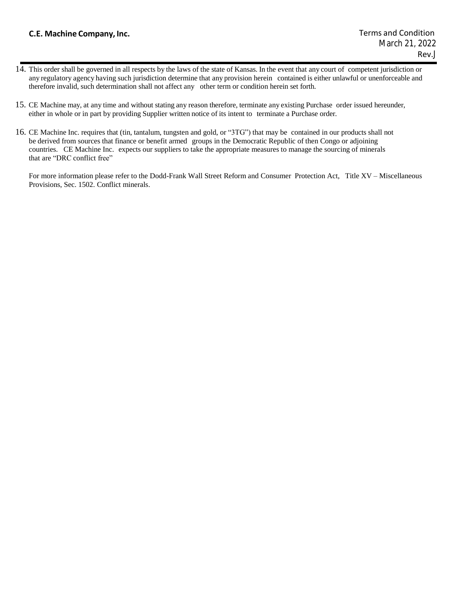# **C.E. Machine Company, Inc.**

- 14. This order shall be governed in all respects by the laws of the state of Kansas. In the event that any court of competent jurisdiction or any regulatory agency having such jurisdiction determine that any provision herein contained is either unlawful or unenforceable and therefore invalid, such determination shall not affect any other term or condition herein set forth.
- 15. CE Machine may, at any time and without stating any reason therefore, terminate any existing Purchase order issued hereunder, either in whole or in part by providing Supplier written notice of its intent to terminate a Purchase order.
- 16. CE Machine Inc. requires that (tin, tantalum, tungsten and gold, or "3TG") that may be contained in our products shall not be derived from sources that finance or benefit armed groups in the Democratic Republic of then Congo or adjoining countries. CE Machine Inc. expects our suppliers to take the appropriate measures to manage the sourcing of minerals that are "DRC conflict free"

For more information please refer to the Dodd-Frank Wall Street Reform and Consumer Protection Act, Title XV – Miscellaneous Provisions, Sec. 1502. Conflict minerals.